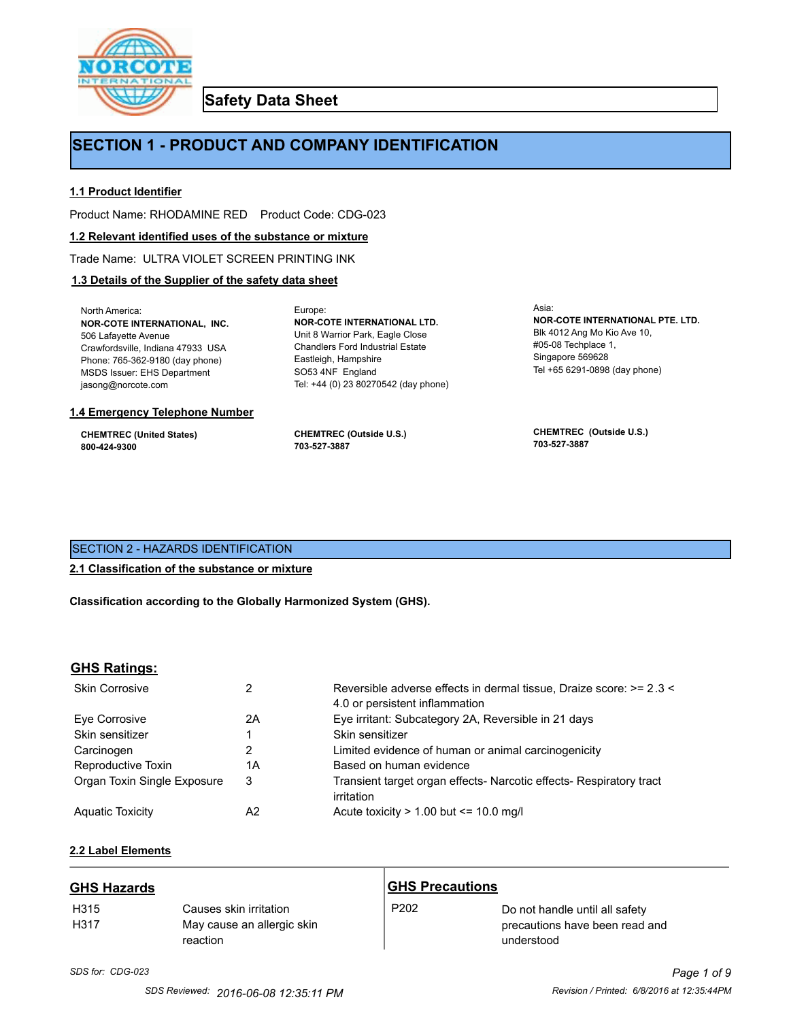

**Safety Data Sheet**

## **SECTION 1 - PRODUCT AND COMPANY IDENTIFICATION**

Europe:

### **1.1 Product Identifier**

Product Name: RHODAMINE RED Product Code: CDG-023

#### **1.2 Relevant identified uses of the substance or mixture**

Trade Name: ULTRA VIOLET SCREEN PRINTING INK

## **1.3 Details of the Supplier of the safety data sheet**

North America: **NOR-COTE INTERNATIONAL, INC.** 506 Lafayette Avenue Crawfordsville, Indiana 47933 USA Phone: 765-362-9180 (day phone) MSDS Issuer: EHS Department jasong@norcote.com

#### **1.4 Emergency Telephone Number**

**CHEMTREC (United States) 800-424-9300**

**CHEMTREC (Outside U.S.) 703-527-3887**

Eastleigh, Hampshire SO53 4NF England

**NOR-COTE INTERNATIONAL LTD.** Unit 8 Warrior Park, Eagle Close Chandlers Ford Industrial Estate

Tel: +44 (0) 23 80270542 (day phone)

Asia: **NOR-COTE INTERNATIONAL PTE. LTD.** Blk 4012 Ang Mo Kio Ave 10, #05-08 Techplace 1, Singapore 569628 Tel +65 6291-0898 (day phone)

**CHEMTREC (Outside U.S.) 703-527-3887**

## SECTION 2 - HAZARDS IDENTIFICATION

## **2.1 Classification of the substance or mixture**

**Classification according to the Globally Harmonized System (GHS).**

## **GHS Ratings:**

| <b>Skin Corrosive</b>       | 2  | Reversible adverse effects in dermal tissue, Draize score: >= 2.3 <<br>4.0 or persistent inflammation |
|-----------------------------|----|-------------------------------------------------------------------------------------------------------|
| Eve Corrosive               | 2A | Eye irritant: Subcategory 2A, Reversible in 21 days                                                   |
| Skin sensitizer             |    | Skin sensitizer                                                                                       |
| Carcinogen                  |    | Limited evidence of human or animal carcinogenicity                                                   |
| Reproductive Toxin          | 1A | Based on human evidence                                                                               |
| Organ Toxin Single Exposure | 3  | Transient target organ effects- Narcotic effects- Respiratory tract<br>irritation                     |
| <b>Aguatic Toxicity</b>     | A2 | Acute toxicity $> 1.00$ but $\leq 10.0$ mg/l                                                          |

## **2.2 Label Elements**

| <b>GHS Hazards</b>       |                                                                  | <b>GHS Precautions</b> |                                                                                |
|--------------------------|------------------------------------------------------------------|------------------------|--------------------------------------------------------------------------------|
| H <sub>315</sub><br>H317 | Causes skin irritation<br>May cause an allergic skin<br>reaction | P <sub>202</sub>       | Do not handle until all safety<br>precautions have been read and<br>understood |

# *SDS for: CDG-023 Page 1 of 9*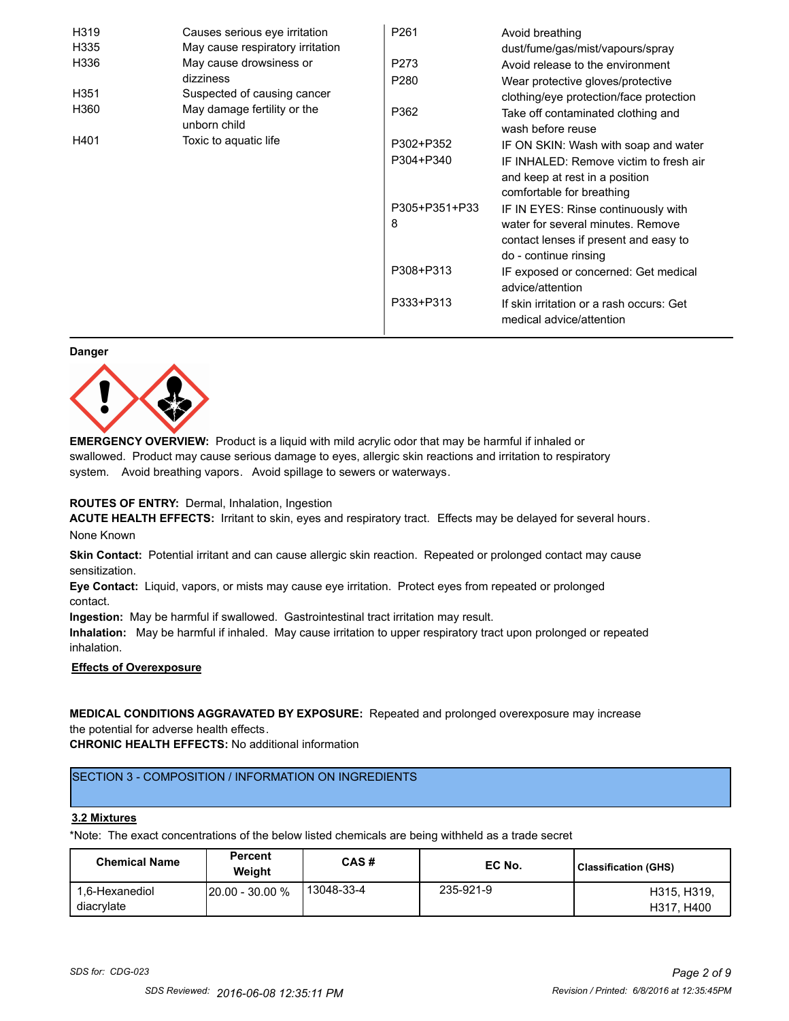| H319             | Causes serious eye irritation               | P261          | Avoid breathing                                                                                       |
|------------------|---------------------------------------------|---------------|-------------------------------------------------------------------------------------------------------|
| H335             | May cause respiratory irritation            |               | dust/fume/gas/mist/vapours/spray                                                                      |
| H336             | May cause drowsiness or                     | P273          | Avoid release to the environment                                                                      |
|                  | dizziness                                   | P280          | Wear protective gloves/protective                                                                     |
| H <sub>351</sub> | Suspected of causing cancer                 |               | clothing/eye protection/face protection                                                               |
| H360             | May damage fertility or the<br>unborn child | P362          | Take off contaminated clothing and<br>wash before reuse                                               |
| H401             | Toxic to aquatic life                       | P302+P352     | IF ON SKIN: Wash with soap and water                                                                  |
|                  |                                             | P304+P340     | IF INHALED: Remove victim to fresh air<br>and keep at rest in a position<br>comfortable for breathing |
|                  |                                             | P305+P351+P33 | IF IN EYES: Rinse continuously with                                                                   |
|                  |                                             | 8             | water for several minutes. Remove<br>contact lenses if present and easy to<br>do - continue rinsing   |
|                  |                                             | P308+P313     | IF exposed or concerned: Get medical<br>advice/attention                                              |
|                  |                                             | P333+P313     | If skin irritation or a rash occurs: Get<br>medical advice/attention                                  |

#### **Danger**



**EMERGENCY OVERVIEW:** Product is a liquid with mild acrylic odor that may be harmful if inhaled or swallowed. Product may cause serious damage to eyes, allergic skin reactions and irritation to respiratory system. Avoid breathing vapors. Avoid spillage to sewers or waterways.

#### **ROUTES OF ENTRY:** Dermal, Inhalation, Ingestion

**ACUTE HEALTH EFFECTS:** Irritant to skin, eyes and respiratory tract. Effects may be delayed for several hours. None Known

**Skin Contact:** Potential irritant and can cause allergic skin reaction. Repeated or prolonged contact may cause sensitization.

**Eye Contact:** Liquid, vapors, or mists may cause eye irritation. Protect eyes from repeated or prolonged contact.

**Ingestion:** May be harmful if swallowed. Gastrointestinal tract irritation may result.

**Inhalation:** May be harmful if inhaled. May cause irritation to upper respiratory tract upon prolonged or repeated inhalation.

## **Effects of Overexposure**

## **MEDICAL CONDITIONS AGGRAVATED BY EXPOSURE:** Repeated and prolonged overexposure may increase the potential for adverse health effects.

**CHRONIC HEALTH EFFECTS:** No additional information

## SECTION 3 - COMPOSITION / INFORMATION ON INGREDIENTS

#### **3.2 Mixtures**

\*Note: The exact concentrations of the below listed chemicals are being withheld as a trade secret

| <b>Chemical Name</b>         | <b>Percent</b><br>Weiaht | CAS#       | EC No.    | Classification (GHS)      |
|------------------------------|--------------------------|------------|-----------|---------------------------|
| 1.6-Hexanediol<br>diacrylate | $120.00 - 30.00 %$       | 13048-33-4 | 235-921-9 | H315, H319,<br>H317, H400 |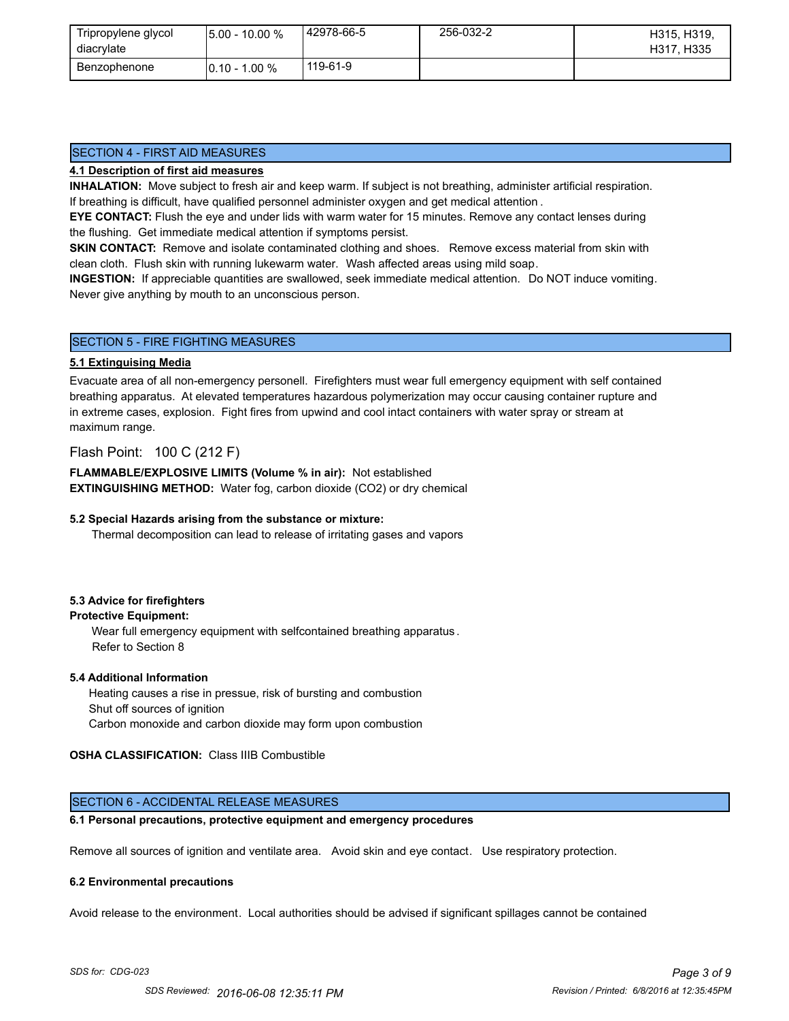| Tripropylene glycol<br>diacrylate | $15.00 - 10.00 %$ | 42978-66-5 | 256-032-2 | H315, H319,<br>H317, H335 |
|-----------------------------------|-------------------|------------|-----------|---------------------------|
| Benzophenone                      | $10.10 - 1.00 \%$ | 119-61-9   |           |                           |

## SECTION 4 - FIRST AID MEASURES

#### **4.1 Description of first aid measures**

**INHALATION:** Move subject to fresh air and keep warm. If subject is not breathing, administer artificial respiration. If breathing is difficult, have qualified personnel administer oxygen and get medical attention .

**EYE CONTACT:** Flush the eye and under lids with warm water for 15 minutes. Remove any contact lenses during the flushing. Get immediate medical attention if symptoms persist.

**SKIN CONTACT:** Remove and isolate contaminated clothing and shoes. Remove excess material from skin with clean cloth. Flush skin with running lukewarm water. Wash affected areas using mild soap.

**INGESTION:** If appreciable quantities are swallowed, seek immediate medical attention. Do NOT induce vomiting. Never give anything by mouth to an unconscious person.

#### SECTION 5 - FIRE FIGHTING MEASURES

#### **5.1 Extinguising Media**

Evacuate area of all non-emergency personell. Firefighters must wear full emergency equipment with self contained breathing apparatus. At elevated temperatures hazardous polymerization may occur causing container rupture and in extreme cases, explosion. Fight fires from upwind and cool intact containers with water spray or stream at maximum range.

### Flash Point: 100 C (212 F)

**FLAMMABLE/EXPLOSIVE LIMITS (Volume % in air):** Not established **EXTINGUISHING METHOD:** Water fog, carbon dioxide (CO2) or dry chemical

#### **5.2 Special Hazards arising from the substance or mixture:**

Thermal decomposition can lead to release of irritating gases and vapors

#### **5.3 Advice for firefighters**

## **Protective Equipment:**

Wear full emergency equipment with selfcontained breathing apparatus . Refer to Section 8

#### **5.4 Additional Information**

 Heating causes a rise in pressue, risk of bursting and combustion Shut off sources of ignition Carbon monoxide and carbon dioxide may form upon combustion

#### **OSHA CLASSIFICATION:** Class IIIB Combustible

## SECTION 6 - ACCIDENTAL RELEASE MEASURES

### **6.1 Personal precautions, protective equipment and emergency procedures**

Remove all sources of ignition and ventilate area. Avoid skin and eye contact. Use respiratory protection.

#### **6.2 Environmental precautions**

Avoid release to the environment. Local authorities should be advised if significant spillages cannot be contained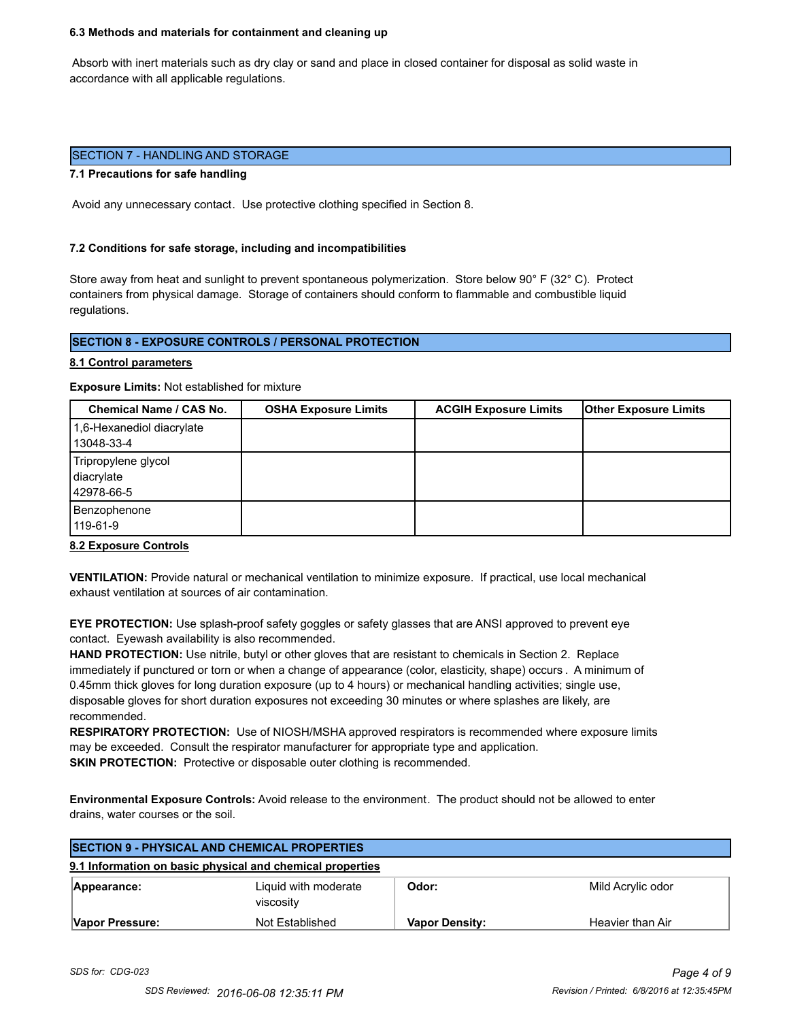#### **6.3 Methods and materials for containment and cleaning up**

 Absorb with inert materials such as dry clay or sand and place in closed container for disposal as solid waste in accordance with all applicable regulations.

#### SECTION 7 - HANDLING AND STORAGE

#### **7.1 Precautions for safe handling**

Avoid any unnecessary contact. Use protective clothing specified in Section 8.

#### **7.2 Conditions for safe storage, including and incompatibilities**

Store away from heat and sunlight to prevent spontaneous polymerization. Store below 90° F (32° C). Protect containers from physical damage. Storage of containers should conform to flammable and combustible liquid regulations.

### **SECTION 8 - EXPOSURE CONTROLS / PERSONAL PROTECTION**

#### **8.1 Control parameters**

**Exposure Limits:** Not established for mixture

| Chemical Name / CAS No.                         | <b>OSHA Exposure Limits</b> | <b>ACGIH Exposure Limits</b> | <b>Other Exposure Limits</b> |
|-------------------------------------------------|-----------------------------|------------------------------|------------------------------|
| 1,6-Hexanediol diacrylate<br>13048-33-4         |                             |                              |                              |
| Tripropylene glycol<br>diacrylate<br>42978-66-5 |                             |                              |                              |
| Benzophenone<br>119-61-9                        |                             |                              |                              |

#### **8.2 Exposure Controls**

**VENTILATION:** Provide natural or mechanical ventilation to minimize exposure. If practical, use local mechanical exhaust ventilation at sources of air contamination.

**EYE PROTECTION:** Use splash-proof safety goggles or safety glasses that are ANSI approved to prevent eye contact. Eyewash availability is also recommended.

**HAND PROTECTION:** Use nitrile, butyl or other gloves that are resistant to chemicals in Section 2. Replace immediately if punctured or torn or when a change of appearance (color, elasticity, shape) occurs . A minimum of 0.45mm thick gloves for long duration exposure (up to 4 hours) or mechanical handling activities; single use, disposable gloves for short duration exposures not exceeding 30 minutes or where splashes are likely, are recommended.

**RESPIRATORY PROTECTION:** Use of NIOSH/MSHA approved respirators is recommended where exposure limits may be exceeded. Consult the respirator manufacturer for appropriate type and application. **SKIN PROTECTION:** Protective or disposable outer clothing is recommended.

**Environmental Exposure Controls:** Avoid release to the environment. The product should not be allowed to enter drains, water courses or the soil.

| <b>SECTION 9 - PHYSICAL AND CHEMICAL PROPERTIES</b>       |                                   |                       |                   |  |
|-----------------------------------------------------------|-----------------------------------|-----------------------|-------------------|--|
| 9.1 Information on basic physical and chemical properties |                                   |                       |                   |  |
| Appearance:                                               | Liquid with moderate<br>viscosity | Odor:                 | Mild Acrylic odor |  |
| Vapor Pressure:                                           | Not Established                   | <b>Vapor Density:</b> | Heavier than Air  |  |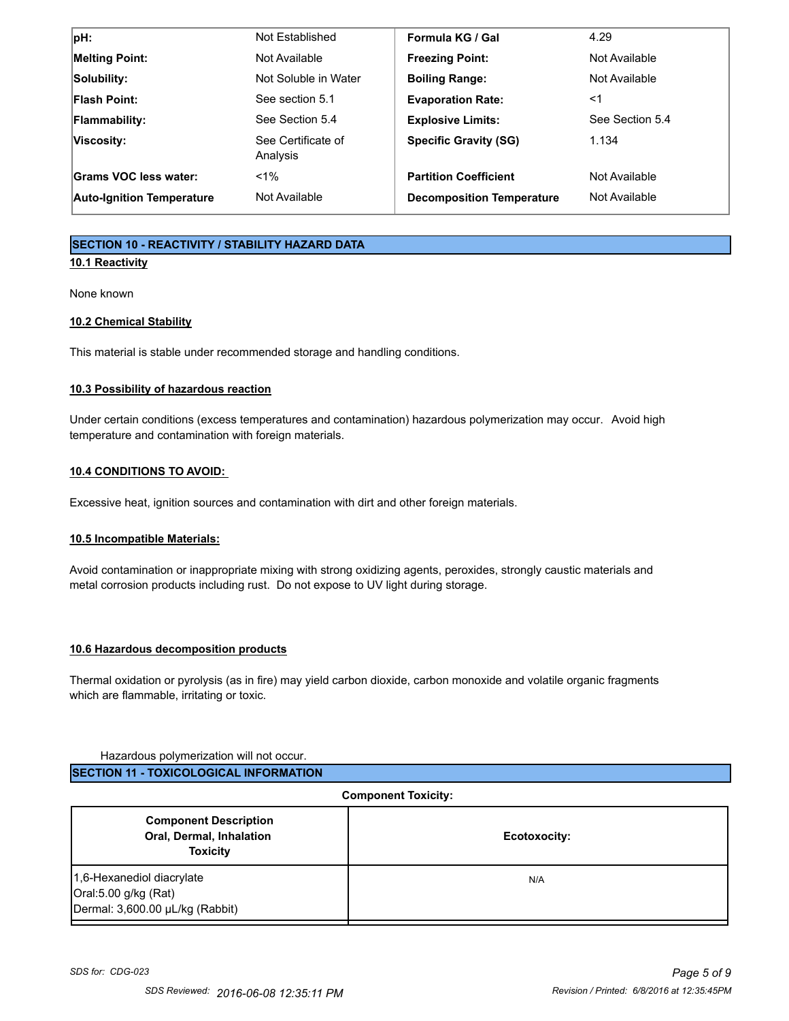| $ pH$ :                          | Not Established                | Formula KG / Gal                 | 4.29            |
|----------------------------------|--------------------------------|----------------------------------|-----------------|
| <b>Melting Point:</b>            | Not Available                  | <b>Freezing Point:</b>           | Not Available   |
| Solubility:                      | Not Soluble in Water           | <b>Boiling Range:</b>            | Not Available   |
| <b>Flash Point:</b>              | See section 5.1                | <b>Evaporation Rate:</b>         | <1              |
| <b>Flammability:</b>             | See Section 5.4                | <b>Explosive Limits:</b>         | See Section 5.4 |
| Viscosity:                       | See Certificate of<br>Analysis | <b>Specific Gravity (SG)</b>     | 1.134           |
| Grams VOC less water:            | $< 1\%$                        | <b>Partition Coefficient</b>     | Not Available   |
| <b>Auto-Ignition Temperature</b> | Not Available                  | <b>Decomposition Temperature</b> | Not Available   |

## **SECTION 10 - REACTIVITY / STABILITY HAZARD DATA**

## **10.1 Reactivity**

None known

### **10.2 Chemical Stability**

This material is stable under recommended storage and handling conditions.

### **10.3 Possibility of hazardous reaction**

Under certain conditions (excess temperatures and contamination) hazardous polymerization may occur. Avoid high temperature and contamination with foreign materials.

### **10.4 CONDITIONS TO AVOID:**

Excessive heat, ignition sources and contamination with dirt and other foreign materials.

## **10.5 Incompatible Materials:**

Avoid contamination or inappropriate mixing with strong oxidizing agents, peroxides, strongly caustic materials and metal corrosion products including rust. Do not expose to UV light during storage.

#### **10.6 Hazardous decomposition products**

Thermal oxidation or pyrolysis (as in fire) may yield carbon dioxide, carbon monoxide and volatile organic fragments which are flammable, irritating or toxic.

#### Hazardous polymerization will not occur.

| <b>Component Toxicity:</b>                                                           |              |  |
|--------------------------------------------------------------------------------------|--------------|--|
| <b>Component Description</b><br>Oral, Dermal, Inhalation<br><b>Toxicity</b>          | Ecotoxocity: |  |
| 1,6-Hexanediol diacrylate<br>Oral:5.00 g/kg (Rat)<br>Dermal: 3,600.00 µL/kg (Rabbit) | N/A          |  |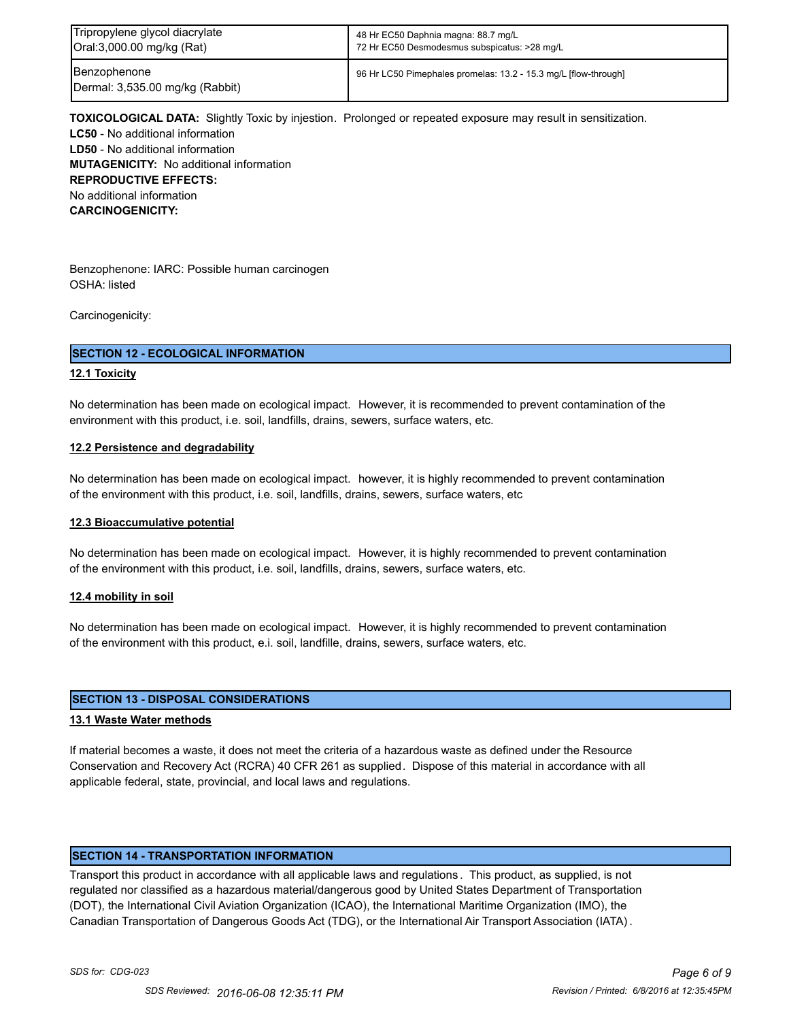| Tripropylene glycol diacrylate                  | 48 Hr EC50 Daphnia magna: 88.7 mg/L                             |
|-------------------------------------------------|-----------------------------------------------------------------|
| Oral:3,000.00 mg/kg (Rat)                       | 72 Hr EC50 Desmodesmus subspicatus: >28 mg/L                    |
| Benzophenone<br>Dermal: 3,535.00 mg/kg (Rabbit) | 96 Hr LC50 Pimephales promelas: 13.2 - 15.3 mg/L [flow-through] |

**TOXICOLOGICAL DATA:** Slightly Toxic by injestion. Prolonged or repeated exposure may result in sensitization. **LC50** - No additional information **LD50** - No additional information **MUTAGENICITY:** No additional information **REPRODUCTIVE EFFECTS:** No additional information **CARCINOGENICITY:**

Benzophenone: IARC: Possible human carcinogen OSHA: listed

Carcinogenicity:

#### **SECTION 12 - ECOLOGICAL INFORMATION**

#### **12.1 Toxicity**

No determination has been made on ecological impact. However, it is recommended to prevent contamination of the environment with this product, i.e. soil, landfills, drains, sewers, surface waters, etc.

#### **12.2 Persistence and degradability**

No determination has been made on ecological impact. however, it is highly recommended to prevent contamination of the environment with this product, i.e. soil, landfills, drains, sewers, surface waters, etc

#### **12.3 Bioaccumulative potential**

No determination has been made on ecological impact. However, it is highly recommended to prevent contamination of the environment with this product, i.e. soil, landfills, drains, sewers, surface waters, etc.

#### **12.4 mobility in soil**

No determination has been made on ecological impact. However, it is highly recommended to prevent contamination of the environment with this product, e.i. soil, landfille, drains, sewers, surface waters, etc.

#### **SECTION 13 - DISPOSAL CONSIDERATIONS**

#### **13.1 Waste Water methods**

If material becomes a waste, it does not meet the criteria of a hazardous waste as defined under the Resource Conservation and Recovery Act (RCRA) 40 CFR 261 as supplied. Dispose of this material in accordance with all applicable federal, state, provincial, and local laws and regulations.

#### **SECTION 14 - TRANSPORTATION INFORMATION**

Transport this product in accordance with all applicable laws and regulations . This product, as supplied, is not regulated nor classified as a hazardous material/dangerous good by United States Department of Transportation (DOT), the International Civil Aviation Organization (ICAO), the International Maritime Organization (IMO), the Canadian Transportation of Dangerous Goods Act (TDG), or the International Air Transport Association (IATA) .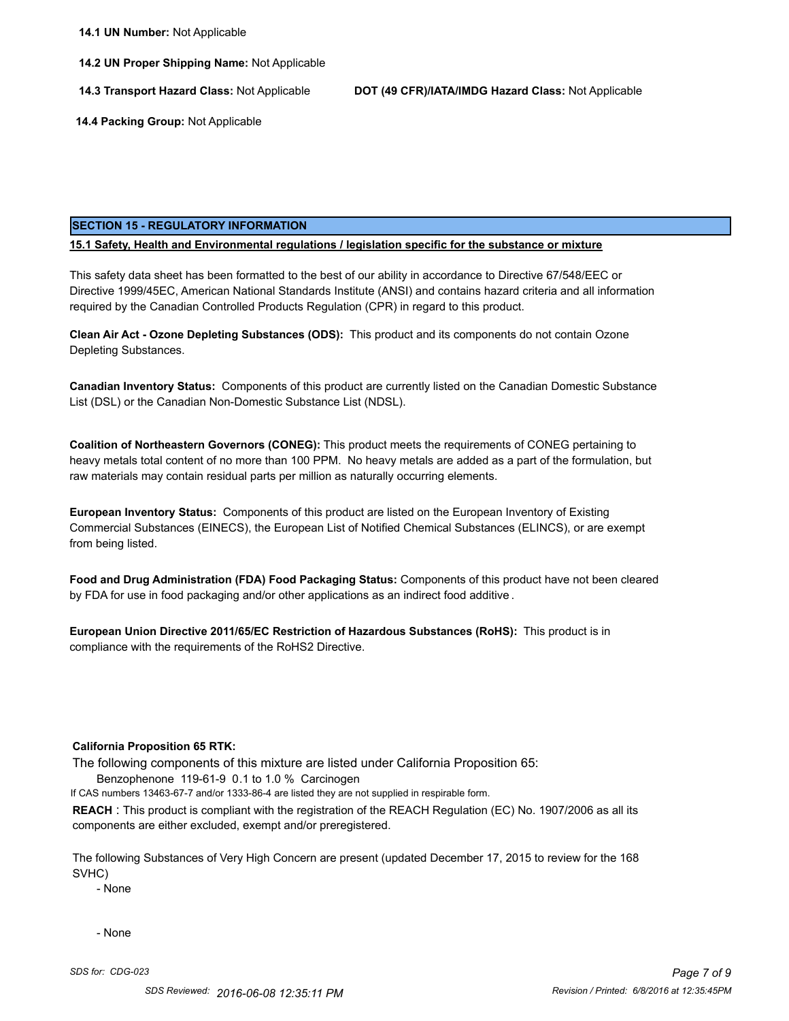**14.2 UN Proper Shipping Name:** Not Applicable

**14.3 Transport Hazard Class:** Not Applicable **DOT (49 CFR)/IATA/IMDG Hazard Class:** Not Applicable

 **14.4 Packing Group:** Not Applicable

#### **SECTION 15 - REGULATORY INFORMATION**

#### **15.1 Safety, Health and Environmental regulations / legislation specific for the substance or mixture**

This safety data sheet has been formatted to the best of our ability in accordance to Directive 67/548/EEC or Directive 1999/45EC, American National Standards Institute (ANSI) and contains hazard criteria and all information required by the Canadian Controlled Products Regulation (CPR) in regard to this product.

**Clean Air Act - Ozone Depleting Substances (ODS):** This product and its components do not contain Ozone Depleting Substances.

**Canadian Inventory Status:** Components of this product are currently listed on the Canadian Domestic Substance List (DSL) or the Canadian Non-Domestic Substance List (NDSL).

**Coalition of Northeastern Governors (CONEG):** This product meets the requirements of CONEG pertaining to heavy metals total content of no more than 100 PPM. No heavy metals are added as a part of the formulation, but raw materials may contain residual parts per million as naturally occurring elements.

**European Inventory Status:** Components of this product are listed on the European Inventory of Existing Commercial Substances (EINECS), the European List of Notified Chemical Substances (ELINCS), or are exempt from being listed.

**Food and Drug Administration (FDA) Food Packaging Status:** Components of this product have not been cleared by FDA for use in food packaging and/or other applications as an indirect food additive .

**European Union Directive 2011/65/EC Restriction of Hazardous Substances (RoHS):** This product is in compliance with the requirements of the RoHS2 Directive.

#### **California Proposition 65 RTK:**

The following components of this mixture are listed under California Proposition 65:

Benzophenone 119-61-9 0.1 to 1.0 % Carcinogen

If CAS numbers 13463-67-7 and/or 1333-86-4 are listed they are not supplied in respirable form.

**REACH** : This product is compliant with the registration of the REACH Regulation (EC) No. 1907/2006 as all its components are either excluded, exempt and/or preregistered.

The following Substances of Very High Concern are present (updated December 17, 2015 to review for the 168 SVHC)

- None

- None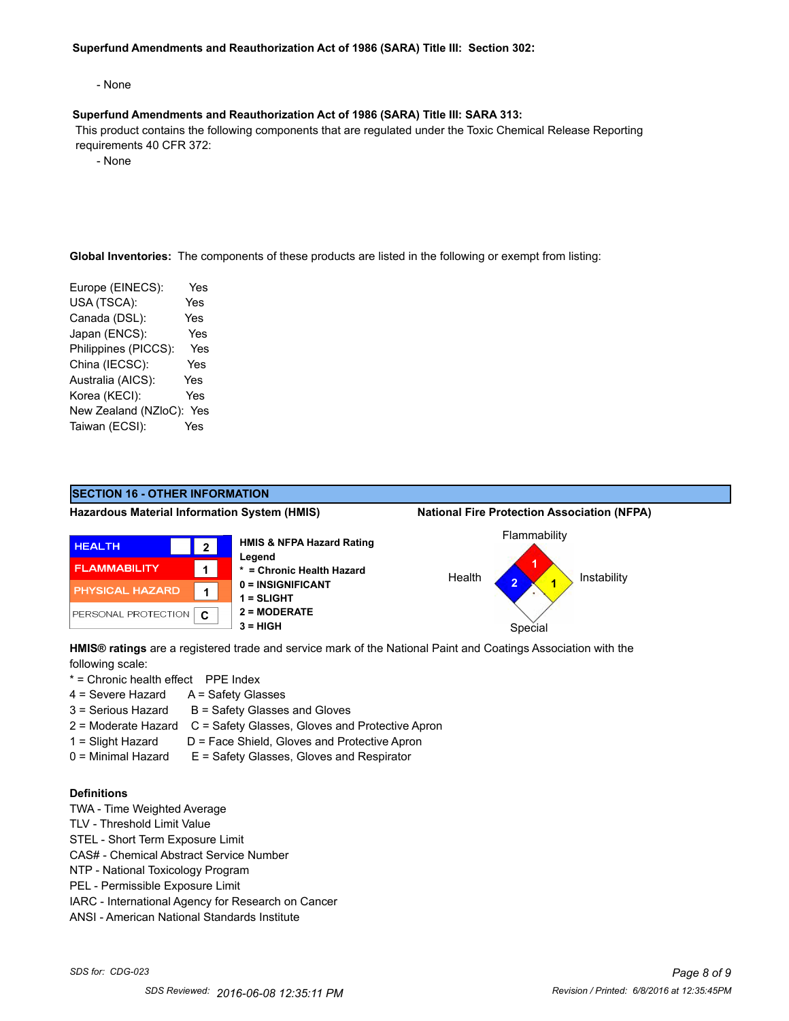#### **Superfund Amendments and Reauthorization Act of 1986 (SARA) Title III: Section 302:**

- None

#### **Superfund Amendments and Reauthorization Act of 1986 (SARA) Title III: SARA 313:**

 This product contains the following components that are regulated under the Toxic Chemical Release Reporting requirements 40 CFR 372:

- None

**Global Inventories:** The components of these products are listed in the following or exempt from listing:

| Europe (EINECS):     | Yes        |
|----------------------|------------|
| USA (TSCA):          | Yes        |
| Canada (DSL):        | Yes        |
| Japan (ENCS):        | Yes        |
| Philippines (PICCS): | Yes        |
| China (IECSC):       | Yes        |
| Australia (AICS):    | <b>Yes</b> |
| Korea (KECI):        | Yes        |
| New Zealand (NZloC): | Yes        |
| Taiwan (ECSI):       | Yes        |
|                      |            |



**HMIS® ratings** are a registered trade and service mark of the National Paint and Coatings Association with the following scale:

- \* = Chronic health effect PPE Index
- $4 =$  Severe Hazard  $A =$  Safety Glasses
- $3 =$  Serious Hazard  $B =$  Safety Glasses and Gloves
- 2 = Moderate Hazard C = Safety Glasses, Gloves and Protective Apron
- 1 = Slight Hazard D = Face Shield, Gloves and Protective Apron
- 0 = Minimal Hazard E = Safety Glasses, Gloves and Respirator

## **Definitions**

- TWA Time Weighted Average
- TLV Threshold Limit Value
- STEL Short Term Exposure Limit
- CAS# Chemical Abstract Service Number
- NTP National Toxicology Program
- PEL Permissible Exposure Limit
- IARC International Agency for Research on Cancer
- ANSI American National Standards Institute